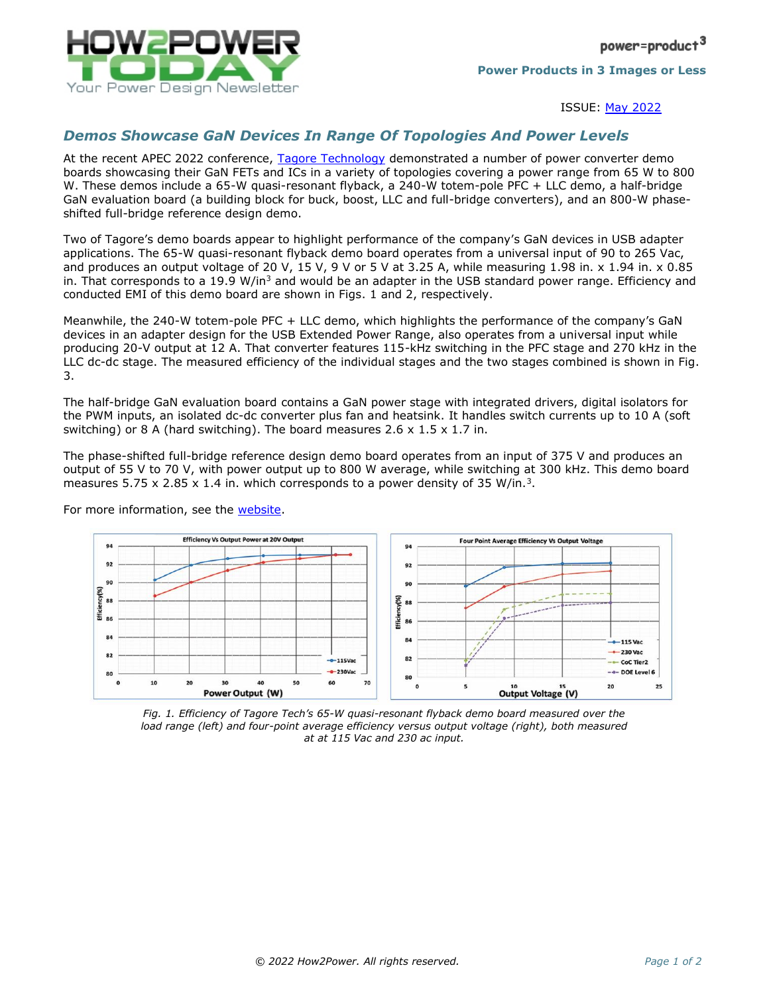

ISSUE: May [2022](http://www.how2power.com/newsletters/2205/index.html)

## *Demos Showcase GaN Devices In Range Of Topologies And Power Levels*

At the recent APEC 2022 conference, [Tagore Technology](https://www.tagoretech.com/) demonstrated a number of power converter demo boards showcasing their GaN FETs and ICs in a variety of topologies covering a power range from 65 W to 800 W. These demos include a 65-W quasi-resonant flyback, a 240-W totem-pole PFC + LLC demo, a half-bridge GaN evaluation board (a building block for buck, boost, LLC and full-bridge converters), and an 800-W phaseshifted full-bridge reference design demo.

Two of Tagore's demo boards appear to highlight performance of the company's GaN devices in USB adapter applications. The 65-W quasi-resonant flyback demo board operates from a universal input of 90 to 265 Vac, and produces an output voltage of 20 V, 15 V, 9 V or 5 V at 3.25 A, while measuring 1.98 in. x 1.94 in. x 0.85 in. That corresponds to a 19.9 W/in<sup>3</sup> and would be an adapter in the USB standard power range. Efficiency and conducted EMI of this demo board are shown in Figs. 1 and 2, respectively.

Meanwhile, the 240-W totem-pole PFC + LLC demo, which highlights the performance of the company's GaN devices in an adapter design for the USB Extended Power Range, also operates from a universal input while producing 20-V output at 12 A. That converter features 115-kHz switching in the PFC stage and 270 kHz in the LLC dc-dc stage. The measured efficiency of the individual stages and the two stages combined is shown in Fig. 3.

The half-bridge GaN evaluation board contains a GaN power stage with integrated drivers, digital isolators for the PWM inputs, an isolated dc-dc converter plus fan and heatsink. It handles switch currents up to 10 A (soft switching) or 8 A (hard switching). The board measures 2.6  $\times$  1.5  $\times$  1.7 in.

The phase-shifted full-bridge reference design demo board operates from an input of 375 V and produces an output of 55 V to 70 V, with power output up to 800 W average, while switching at 300 kHz. This demo board measures  $5.75 \times 2.85 \times 1.4$  in. which corresponds to a power density of 35 W/in.<sup>3</sup>.



For more information, see the [website.](https://www.tagoretech.com/)

*Fig. 1. Efficiency of Tagore Tech's 65-W quasi-resonant flyback demo board measured over the*  load range (left) and four-point average efficiency versus output voltage (right), both measured *at at 115 Vac and 230 ac input.*